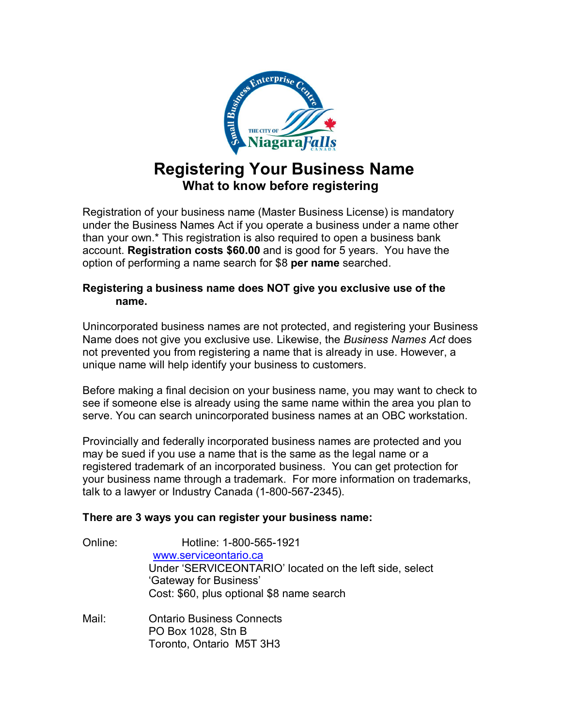

# **Registering Your Business Name What to know before registering**

Registration of your business name (Master Business License) is mandatory under the Business Names Act if you operate a business under a name other than your own.\* This registration is also required to open a business bank account. **Registration costs \$60.00** and is good for 5 years. You have the option of performing a name search for \$8 **per name** searched.

### **Registering a business name does NOT give you exclusive use of the name.**

Unincorporated business names are not protected, and registering your Business Name does not give you exclusive use. Likewise, the *Business Names Act* does not prevented you from registering a name that is already in use. However, a unique name will help identify your business to customers.

Before making a final decision on your business name, you may want to check to see if someone else is already using the same name within the area you plan to serve. You can search unincorporated business names at an OBC workstation.

Provincially and federally incorporated business names are protected and you may be sued if you use a name that is the same as the legal name or a registered trademark of an incorporated business. You can get protection for your business name through a trademark. For more information on trademarks, talk to a lawyer or Industry Canada (1-800-567-2345).

## **There are 3 ways you can register your business name:**

| Online: | Hotline: 1-800-565-1921<br>www.serviceontario.ca<br>Under 'SERVICEONTARIO' located on the left side, select<br>'Gateway for Business'<br>Cost: \$60, plus optional \$8 name search |
|---------|------------------------------------------------------------------------------------------------------------------------------------------------------------------------------------|
| Mail:   | <b>Ontario Business Connects</b><br>PO Box 1028, Stn B<br>Toronto, Ontario M5T 3H3                                                                                                 |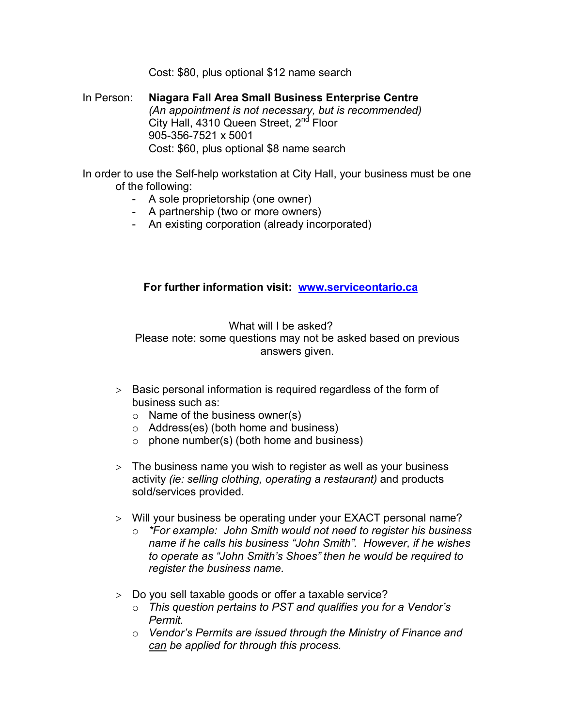Cost: \$80, plus optional \$12 name search

In Person: **Niagara Fall Area Small Business Enterprise Centre** *(An appointment is not necessary, but is recommended)* City Hall, 4310 Queen Street, 2<sup>nd</sup> Floor 905-356-7521 x 5001 Cost: \$60, plus optional \$8 name search

In order to use the Self-help workstation at City Hall, your business must be one of the following:

- A sole proprietorship (one owner)
- A partnership (two or more owners)
- An existing corporation (already incorporated)

#### **For further information visit: www.serviceontario.ca**

What will I be asked? Please note: some questions may not be asked based on previous answers given.

- $>$  Basic personal information is required regardless of the form of business such as:
	- $\circ$  Name of the business owner(s)
	- o Address(es) (both home and business)
	- $\circ$  phone number(s) (both home and business)
- $>$  The business name you wish to register as well as your business activity *(ie: selling clothing, operating a restaurant)* and products sold/services provided.
- Will your business be operating under your EXACT personal name?
	- o *\*For example: John Smith would not need to register his business name if he calls his business "John Smith". However, if he wishes to operate as "John Smith's Shoes" then he would be required to register the business name.*
- Do you sell taxable goods or offer a taxable service?
	- o *This question pertains to PST and qualifies you for a Vendor's Permit.*
	- o *Vendor's Permits are issued through the Ministry of Finance and can be applied for through this process.*